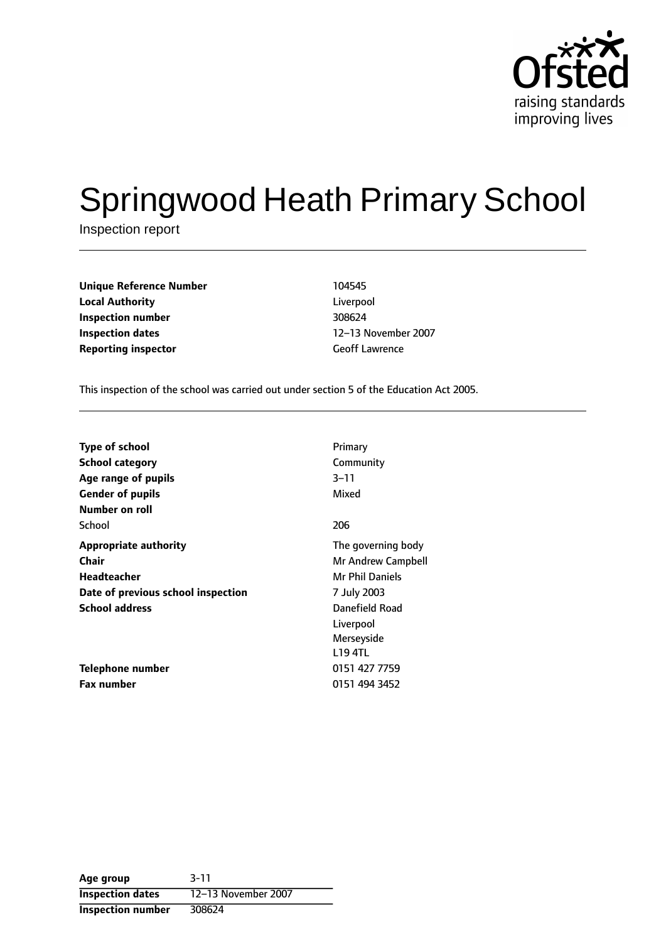

# Springwood Heath Primary School

Inspection report

| <b>Unique Reference Number</b> | 104545                |
|--------------------------------|-----------------------|
| <b>Local Authority</b>         | Liverpool             |
| Inspection number              | 308624                |
| <b>Inspection dates</b>        | 12-13 Novembe         |
| <b>Reporting inspector</b>     | <b>Geoff Lawrence</b> |

Liverpool **Inspection number** 308624 **Inspection dates** 1213 November 2007

This inspection of the school was carried out under section 5 of the Education Act 2005.

| <b>Type of school</b>              | Primary                |
|------------------------------------|------------------------|
| <b>School category</b>             | Community              |
| Age range of pupils                | 3–11                   |
| <b>Gender of pupils</b>            | Mixed                  |
| Number on roll                     |                        |
| School                             | 206                    |
| <b>Appropriate authority</b>       | The governing body     |
| <b>Chair</b>                       | Mr Andrew Campbell     |
| Headteacher                        | <b>Mr Phil Daniels</b> |
| Date of previous school inspection | 7 July 2003            |
| <b>School address</b>              | Danefield Road         |
|                                    | Liverpool              |
|                                    | Merseyside             |
|                                    | <b>L19 4TL</b>         |
| Telephone number                   | 0151 427 7759          |
| <b>Fax number</b>                  | 0151 494 3452          |

**Age group** 3-11 **Inspection dates** 12-13 November 2007 **Inspection number** 308624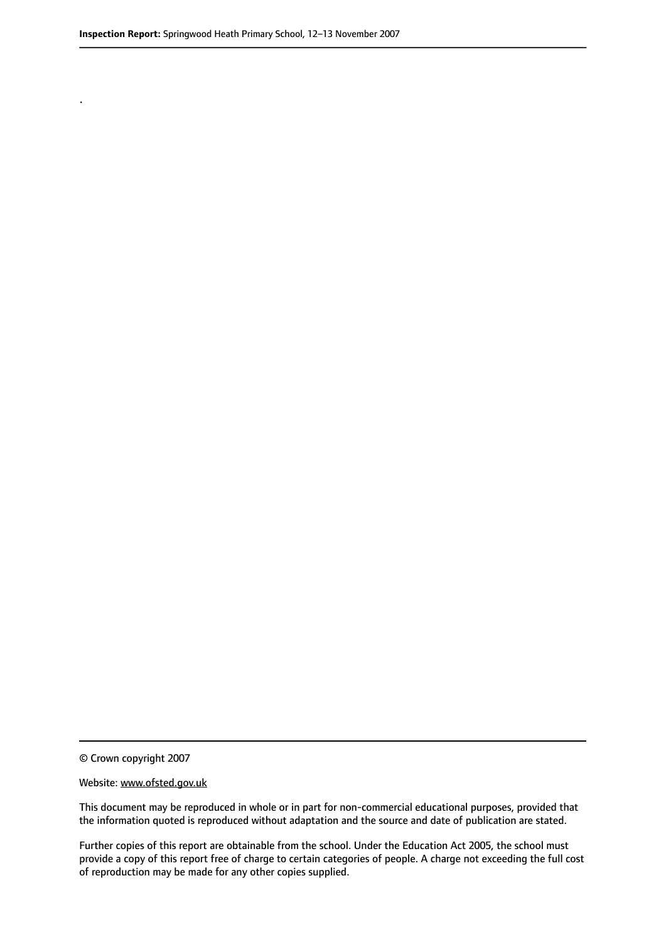.

© Crown copyright 2007

#### Website: www.ofsted.gov.uk

This document may be reproduced in whole or in part for non-commercial educational purposes, provided that the information quoted is reproduced without adaptation and the source and date of publication are stated.

Further copies of this report are obtainable from the school. Under the Education Act 2005, the school must provide a copy of this report free of charge to certain categories of people. A charge not exceeding the full cost of reproduction may be made for any other copies supplied.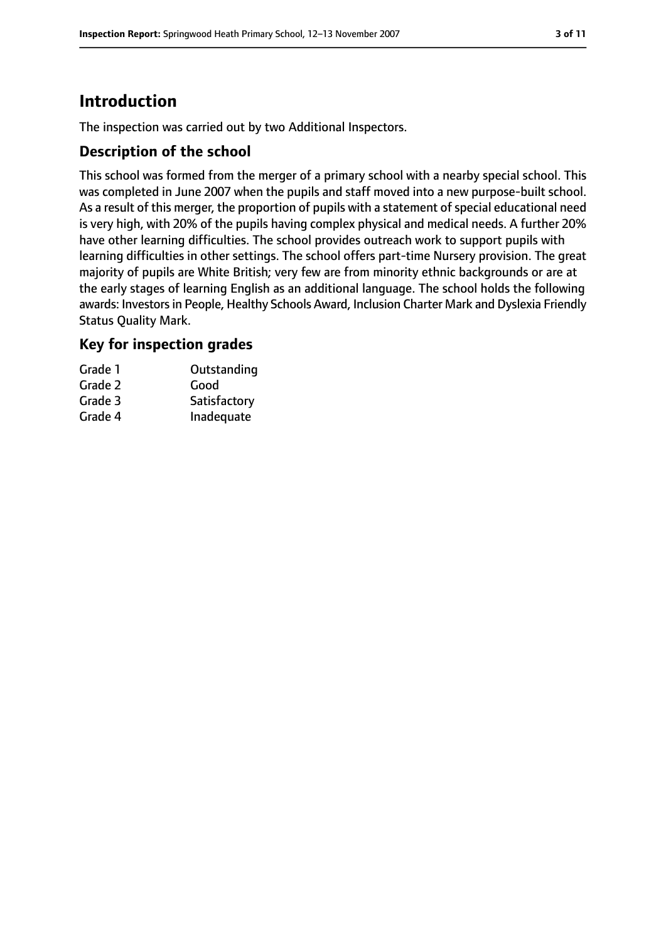# **Introduction**

The inspection was carried out by two Additional Inspectors.

## **Description of the school**

This school was formed from the merger of a primary school with a nearby special school. This was completed in June 2007 when the pupils and staff moved into a new purpose-built school. As a result of this merger, the proportion of pupils with a statement of special educational need is very high, with 20% of the pupils having complex physical and medical needs. A further 20% have other learning difficulties. The school provides outreach work to support pupils with learning difficulties in other settings. The school offers part-time Nursery provision. The great majority of pupils are White British; very few are from minority ethnic backgrounds or are at the early stages of learning English as an additional language. The school holds the following awards: Investors in People, Healthy Schools Award, Inclusion Charter Mark and Dyslexia Friendly Status Quality Mark.

## **Key for inspection grades**

| Grade 1 | Outstanding  |
|---------|--------------|
| Grade 2 | Good         |
| Grade 3 | Satisfactory |
| Grade 4 | Inadequate   |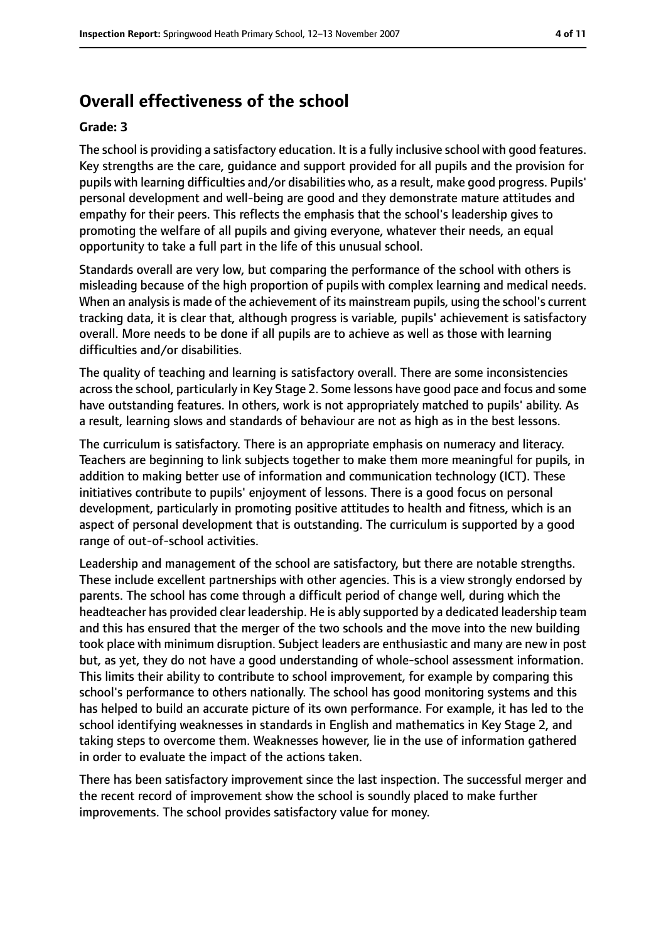# **Overall effectiveness of the school**

#### **Grade: 3**

The school is providing a satisfactory education. It is a fully inclusive school with good features. Key strengths are the care, guidance and support provided for all pupils and the provision for pupils with learning difficulties and/or disabilities who, as a result, make good progress. Pupils' personal development and well-being are good and they demonstrate mature attitudes and empathy for their peers. This reflects the emphasis that the school's leadership gives to promoting the welfare of all pupils and giving everyone, whatever their needs, an equal opportunity to take a full part in the life of this unusual school.

Standards overall are very low, but comparing the performance of the school with others is misleading because of the high proportion of pupils with complex learning and medical needs. When an analysis is made of the achievement of its mainstream pupils, using the school's current tracking data, it is clear that, although progress is variable, pupils' achievement is satisfactory overall. More needs to be done if all pupils are to achieve as well as those with learning difficulties and/or disabilities.

The quality of teaching and learning is satisfactory overall. There are some inconsistencies acrossthe school, particularly in Key Stage 2. Some lessons have good pace and focus and some have outstanding features. In others, work is not appropriately matched to pupils' ability. As a result, learning slows and standards of behaviour are not as high as in the best lessons.

The curriculum is satisfactory. There is an appropriate emphasis on numeracy and literacy. Teachers are beginning to link subjects together to make them more meaningful for pupils, in addition to making better use of information and communication technology (ICT). These initiatives contribute to pupils' enjoyment of lessons. There is a good focus on personal development, particularly in promoting positive attitudes to health and fitness, which is an aspect of personal development that is outstanding. The curriculum is supported by a good range of out-of-school activities.

Leadership and management of the school are satisfactory, but there are notable strengths. These include excellent partnerships with other agencies. This is a view strongly endorsed by parents. The school has come through a difficult period of change well, during which the headteacher has provided clear leadership. He is ably supported by a dedicated leadership team and this has ensured that the merger of the two schools and the move into the new building took place with minimum disruption. Subject leaders are enthusiastic and many are new in post but, as yet, they do not have a good understanding of whole-school assessment information. This limits their ability to contribute to school improvement, for example by comparing this school's performance to others nationally. The school has good monitoring systems and this has helped to build an accurate picture of its own performance. For example, it has led to the school identifying weaknesses in standards in English and mathematics in Key Stage 2, and taking steps to overcome them. Weaknesses however, lie in the use of information gathered in order to evaluate the impact of the actions taken.

There has been satisfactory improvement since the last inspection. The successful merger and the recent record of improvement show the school is soundly placed to make further improvements. The school provides satisfactory value for money.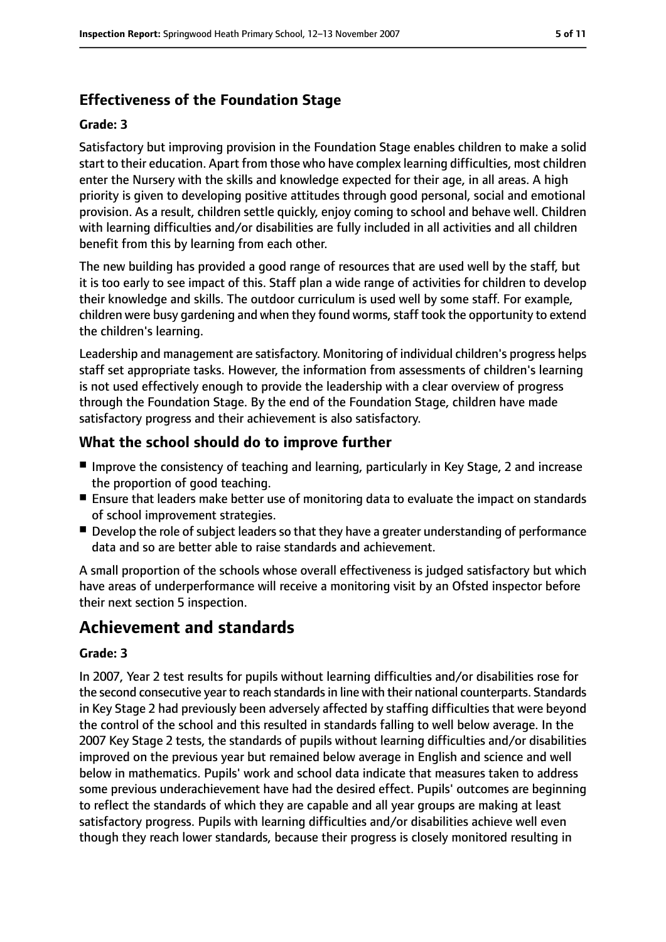## **Effectiveness of the Foundation Stage**

#### **Grade: 3**

Satisfactory but improving provision in the Foundation Stage enables children to make a solid start to their education. Apart from those who have complex learning difficulties, most children enter the Nursery with the skills and knowledge expected for their age, in all areas. A high priority is given to developing positive attitudes through good personal, social and emotional provision. As a result, children settle quickly, enjoy coming to school and behave well. Children with learning difficulties and/or disabilities are fully included in all activities and all children benefit from this by learning from each other.

The new building has provided a good range of resources that are used well by the staff, but it is too early to see impact of this. Staff plan a wide range of activities for children to develop their knowledge and skills. The outdoor curriculum is used well by some staff. For example, children were busy gardening and when they found worms, staff took the opportunity to extend the children's learning.

Leadership and management are satisfactory. Monitoring of individual children's progress helps staff set appropriate tasks. However, the information from assessments of children's learning is not used effectively enough to provide the leadership with a clear overview of progress through the Foundation Stage. By the end of the Foundation Stage, children have made satisfactory progress and their achievement is also satisfactory.

## **What the school should do to improve further**

- Improve the consistency of teaching and learning, particularly in Key Stage, 2 and increase the proportion of good teaching.
- Ensure that leaders make better use of monitoring data to evaluate the impact on standards of school improvement strategies.
- Develop the role of subject leaders so that they have a greater understanding of performance data and so are better able to raise standards and achievement.

A small proportion of the schools whose overall effectiveness is judged satisfactory but which have areas of underperformance will receive a monitoring visit by an Ofsted inspector before their next section 5 inspection.

# **Achievement and standards**

#### **Grade: 3**

In 2007, Year 2 test results for pupils without learning difficulties and/or disabilities rose for the second consecutive year to reach standardsin line with their national counterparts. Standards in Key Stage 2 had previously been adversely affected by staffing difficulties that were beyond the control of the school and this resulted in standards falling to well below average. In the 2007 Key Stage 2 tests, the standards of pupils without learning difficulties and/or disabilities improved on the previous year but remained below average in English and science and well below in mathematics. Pupils' work and school data indicate that measures taken to address some previous underachievement have had the desired effect. Pupils' outcomes are beginning to reflect the standards of which they are capable and all year groups are making at least satisfactory progress. Pupils with learning difficulties and/or disabilities achieve well even though they reach lower standards, because their progress is closely monitored resulting in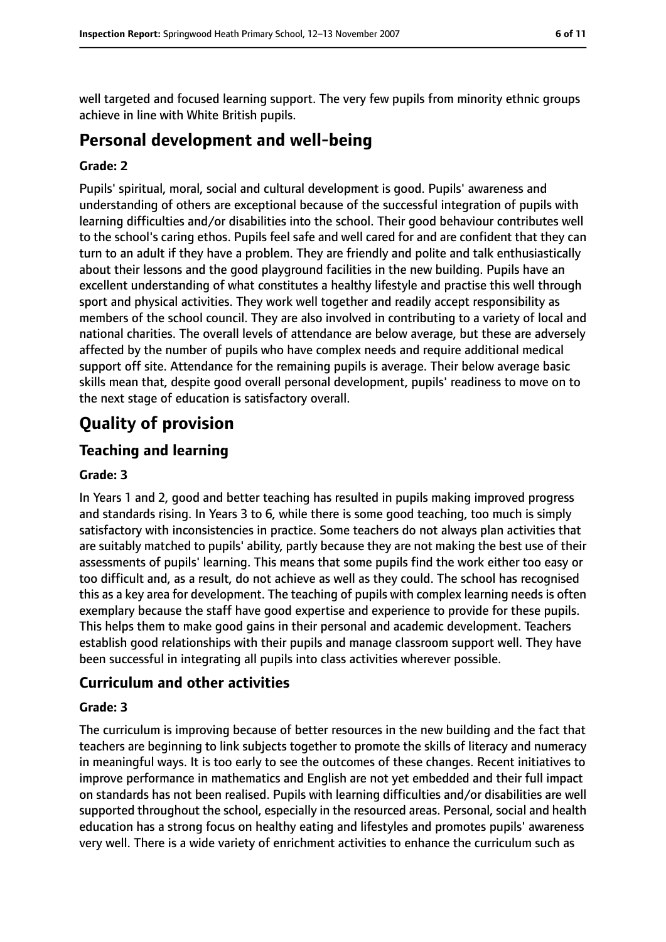well targeted and focused learning support. The very few pupils from minority ethnic groups achieve in line with White British pupils.

# **Personal development and well-being**

#### **Grade: 2**

Pupils' spiritual, moral, social and cultural development is good. Pupils' awareness and understanding of others are exceptional because of the successful integration of pupils with learning difficulties and/or disabilities into the school. Their good behaviour contributes well to the school's caring ethos. Pupils feel safe and well cared for and are confident that they can turn to an adult if they have a problem. They are friendly and polite and talk enthusiastically about their lessons and the good playground facilities in the new building. Pupils have an excellent understanding of what constitutes a healthy lifestyle and practise this well through sport and physical activities. They work well together and readily accept responsibility as members of the school council. They are also involved in contributing to a variety of local and national charities. The overall levels of attendance are below average, but these are adversely affected by the number of pupils who have complex needs and require additional medical support off site. Attendance for the remaining pupils is average. Their below average basic skills mean that, despite good overall personal development, pupils' readiness to move on to the next stage of education is satisfactory overall.

# **Quality of provision**

## **Teaching and learning**

#### **Grade: 3**

In Years 1 and 2, good and better teaching has resulted in pupils making improved progress and standards rising. In Years 3 to 6, while there is some good teaching, too much is simply satisfactory with inconsistencies in practice. Some teachers do not always plan activities that are suitably matched to pupils' ability, partly because they are not making the best use of their assessments of pupils' learning. This means that some pupils find the work either too easy or too difficult and, as a result, do not achieve as well as they could. The school has recognised this as a key area for development. The teaching of pupils with complex learning needs is often exemplary because the staff have good expertise and experience to provide for these pupils. This helps them to make good gains in their personal and academic development. Teachers establish good relationships with their pupils and manage classroom support well. They have been successful in integrating all pupils into class activities wherever possible.

#### **Curriculum and other activities**

#### **Grade: 3**

The curriculum is improving because of better resources in the new building and the fact that teachers are beginning to link subjects together to promote the skills of literacy and numeracy in meaningful ways. It is too early to see the outcomes of these changes. Recent initiatives to improve performance in mathematics and English are not yet embedded and their full impact on standards has not been realised. Pupils with learning difficulties and/or disabilities are well supported throughout the school, especially in the resourced areas. Personal, social and health education has a strong focus on healthy eating and lifestyles and promotes pupils' awareness very well. There is a wide variety of enrichment activities to enhance the curriculum such as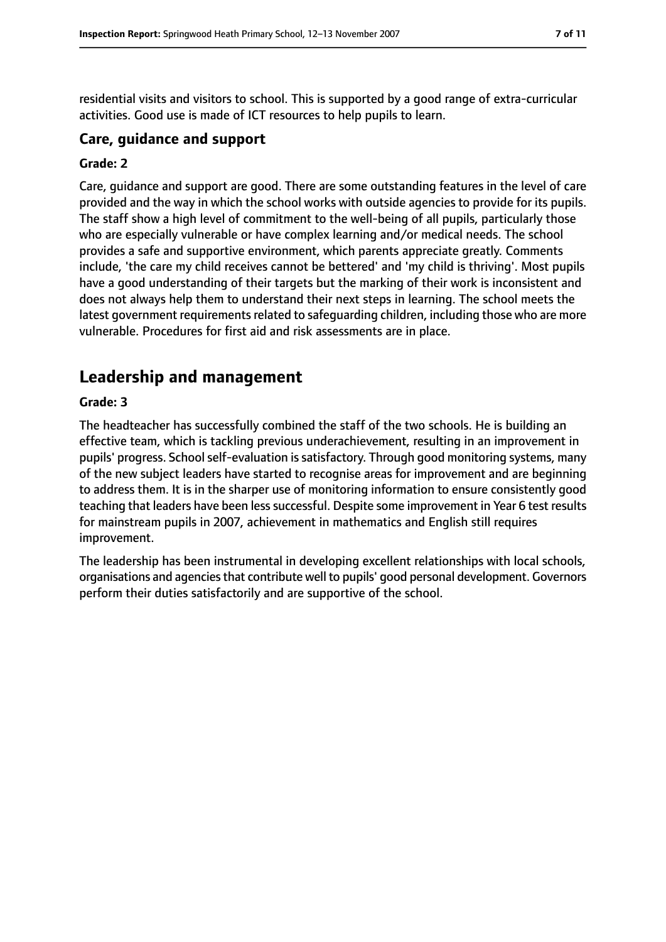residential visits and visitors to school. This is supported by a good range of extra-curricular activities. Good use is made of ICT resources to help pupils to learn.

#### **Care, guidance and support**

#### **Grade: 2**

Care, guidance and support are good. There are some outstanding features in the level of care provided and the way in which the school works with outside agencies to provide for its pupils. The staff show a high level of commitment to the well-being of all pupils, particularly those who are especially vulnerable or have complex learning and/or medical needs. The school provides a safe and supportive environment, which parents appreciate greatly. Comments include, 'the care my child receives cannot be bettered' and 'my child is thriving'. Most pupils have a good understanding of their targets but the marking of their work is inconsistent and does not always help them to understand their next steps in learning. The school meets the latest government requirements related to safeguarding children, including those who are more vulnerable. Procedures for first aid and risk assessments are in place.

# **Leadership and management**

#### **Grade: 3**

The headteacher has successfully combined the staff of the two schools. He is building an effective team, which is tackling previous underachievement, resulting in an improvement in pupils' progress. School self-evaluation is satisfactory. Through good monitoring systems, many of the new subject leaders have started to recognise areas for improvement and are beginning to address them. It is in the sharper use of monitoring information to ensure consistently good teaching that leaders have been less successful. Despite some improvement in Year 6 test results for mainstream pupils in 2007, achievement in mathematics and English still requires improvement.

The leadership has been instrumental in developing excellent relationships with local schools, organisations and agencies that contribute well to pupils' good personal development. Governors perform their duties satisfactorily and are supportive of the school.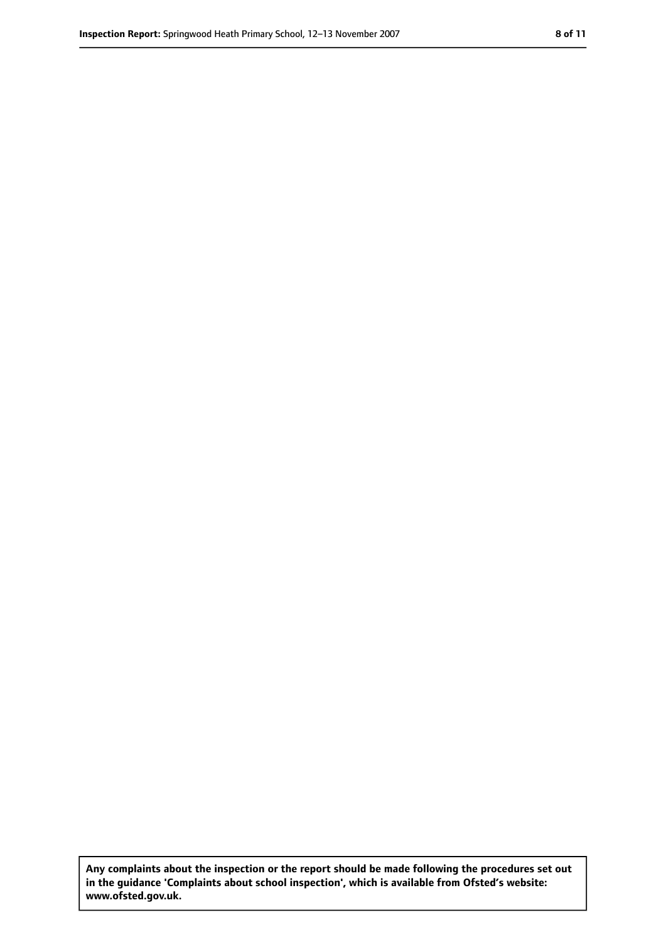**Any complaints about the inspection or the report should be made following the procedures set out in the guidance 'Complaints about school inspection', which is available from Ofsted's website: www.ofsted.gov.uk.**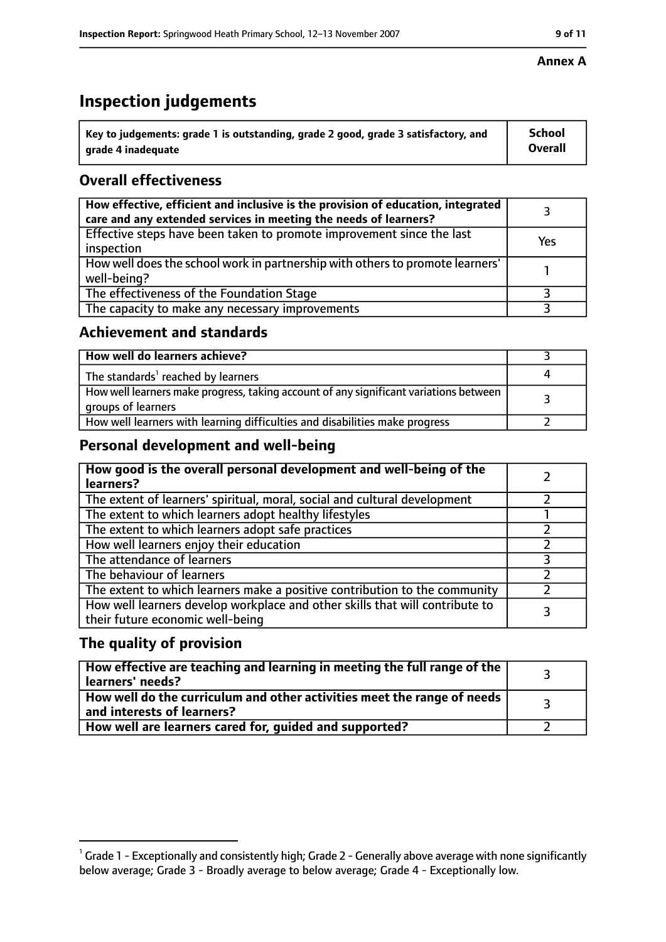# **Inspection judgements**

| $^{\backprime}$ Key to judgements: grade 1 is outstanding, grade 2 good, grade 3 satisfactory, and | <b>School</b>  |
|----------------------------------------------------------------------------------------------------|----------------|
| arade 4 inadeguate                                                                                 | <b>Overall</b> |

## **Overall effectiveness**

| How effective, efficient and inclusive is the provision of education, integrated<br>care and any extended services in meeting the needs of learners? |     |
|------------------------------------------------------------------------------------------------------------------------------------------------------|-----|
| Effective steps have been taken to promote improvement since the last<br>inspection                                                                  | Yes |
| How well does the school work in partnership with others to promote learners'<br>well-being?                                                         |     |
| The effectiveness of the Foundation Stage                                                                                                            |     |
| The capacity to make any necessary improvements                                                                                                      |     |

## **Achievement and standards**

| How well do learners achieve?                                                                               |  |
|-------------------------------------------------------------------------------------------------------------|--|
| The standards <sup>1</sup> reached by learners                                                              |  |
| How well learners make progress, taking account of any significant variations between<br>groups of learners |  |
| How well learners with learning difficulties and disabilities make progress                                 |  |

## **Personal development and well-being**

| How good is the overall personal development and well-being of the<br>learners?                                  |  |
|------------------------------------------------------------------------------------------------------------------|--|
| The extent of learners' spiritual, moral, social and cultural development                                        |  |
| The extent to which learners adopt healthy lifestyles                                                            |  |
| The extent to which learners adopt safe practices                                                                |  |
| How well learners enjoy their education                                                                          |  |
| The attendance of learners                                                                                       |  |
| The behaviour of learners                                                                                        |  |
| The extent to which learners make a positive contribution to the community                                       |  |
| How well learners develop workplace and other skills that will contribute to<br>their future economic well-being |  |

## **The quality of provision**

| How effective are teaching and learning in meeting the full range of the<br>learners' needs?          |  |
|-------------------------------------------------------------------------------------------------------|--|
| How well do the curriculum and other activities meet the range of needs<br>and interests of learners? |  |
| How well are learners cared for, guided and supported?                                                |  |

#### **Annex A**

 $^1$  Grade 1 - Exceptionally and consistently high; Grade 2 - Generally above average with none significantly below average; Grade 3 - Broadly average to below average; Grade 4 - Exceptionally low.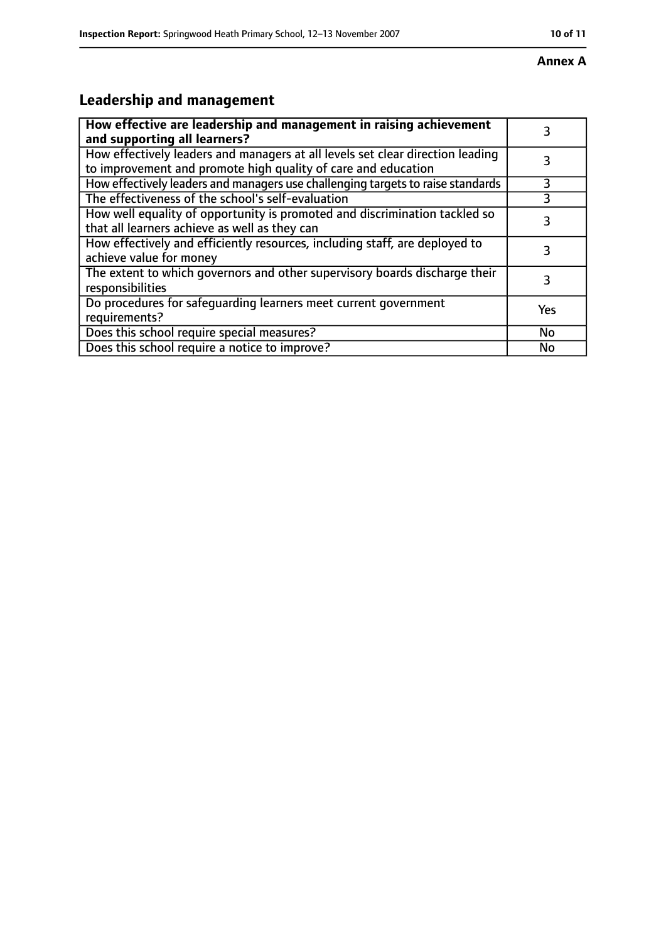#### **Annex A**

# **Leadership and management**

| How effective are leadership and management in raising achievement<br>and supporting all learners?                                              |     |
|-------------------------------------------------------------------------------------------------------------------------------------------------|-----|
| How effectively leaders and managers at all levels set clear direction leading<br>to improvement and promote high quality of care and education |     |
| How effectively leaders and managers use challenging targets to raise standards                                                                 | 3   |
| The effectiveness of the school's self-evaluation                                                                                               | 3   |
| How well equality of opportunity is promoted and discrimination tackled so<br>that all learners achieve as well as they can                     |     |
| How effectively and efficiently resources, including staff, are deployed to<br>achieve value for money                                          | 3   |
| The extent to which governors and other supervisory boards discharge their<br>responsibilities                                                  |     |
| Do procedures for safequarding learners meet current government<br>requirements?                                                                | Yes |
| Does this school require special measures?                                                                                                      | No  |
| Does this school require a notice to improve?                                                                                                   | No  |